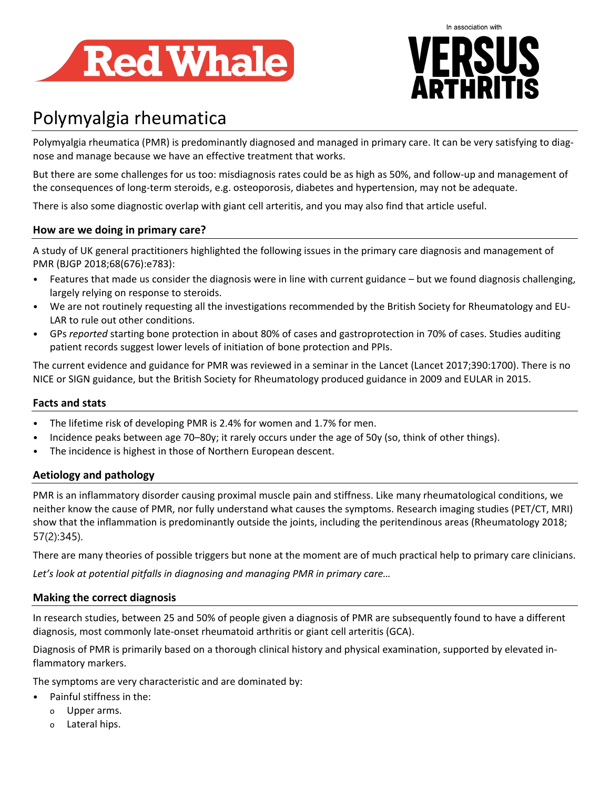



# Polymyalgia rheumatica

Polymyalgia rheumatica (PMR) is predominantly diagnosed and managed in primary care. It can be very satisfying to diagnose and manage because we have an effective treatment that works.

But there are some challenges for us too: misdiagnosis rates could be as high as 50%, and follow-up and management of the consequences of long-term steroids, e.g. osteoporosis, diabetes and hypertension, may not be adequate.

There is also some diagnostic overlap with giant cell arteritis, and you may also find that article useful.

# **How are we doing in primary care?**

A study of UK general practitioners highlighted the following issues in the primary care diagnosis and management of PMR (BJGP 2018;68(676):e783):

- Features that made us consider the diagnosis were in line with current guidance but we found diagnosis challenging, largely relying on response to steroids.
- We are not routinely requesting all the investigations recommended by the British Society for Rheumatology and EU-LAR to rule out other conditions.
- GPs *reported* starting bone protection in about 80% of cases and gastroprotection in 70% of cases. Studies auditing patient records suggest lower levels of initiation of bone protection and PPIs.

The current evidence and guidance for PMR was reviewed in a seminar in the Lancet (Lancet 2017;390:1700). There is no NICE or SIGN guidance, but the British Society for Rheumatology produced guidance in 2009 and EULAR in 2015.

# **Facts and stats**

- The lifetime risk of developing PMR is 2.4% for women and 1.7% for men.
- Incidence peaks between age 70–80y; it rarely occurs under the age of 50y (so, think of other things).
- The incidence is highest in those of Northern European descent.

# **Aetiology and pathology**

PMR is an inflammatory disorder causing proximal muscle pain and stiffness. Like many rheumatological conditions, we neither know the cause of PMR, nor fully understand what causes the symptoms. Research imaging studies (PET/CT, MRI) show that the inflammation is predominantly outside the joints, including the peritendinous areas (Rheumatology 2018; 57(2):345).

There are many theories of possible triggers but none at the moment are of much practical help to primary care clinicians. *Let's look at potential pitfalls in diagnosing and managing PMR in primary care…*

# **Making the correct diagnosis**

In research studies, between 25 and 50% of people given a diagnosis of PMR are subsequently found to have a different diagnosis, most commonly late-onset rheumatoid arthritis or giant cell arteritis (GCA).

Diagnosis of PMR is primarily based on a thorough clinical history and physical examination, supported by elevated inflammatory markers.

The symptoms are very characteristic and are dominated by:

- Painful stiffness in the:
	- o Upper arms.
	- o Lateral hips.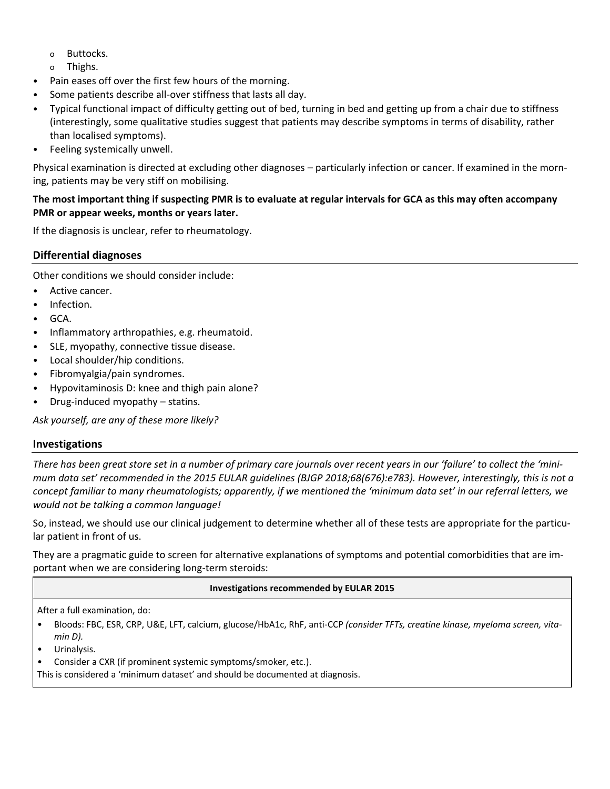- o Buttocks.
- o Thighs.
- Pain eases off over the first few hours of the morning.
- Some patients describe all-over stiffness that lasts all day.
- Typical functional impact of difficulty getting out of bed, turning in bed and getting up from a chair due to stiffness (interestingly, some qualitative studies suggest that patients may describe symptoms in terms of disability, rather than localised symptoms).
- Feeling systemically unwell.

Physical examination is directed at excluding other diagnoses – particularly infection or cancer. If examined in the morning, patients may be very stiff on mobilising.

## **The most important thing if suspecting PMR is to evaluate at regular intervals for GCA as this may often accompany PMR or appear weeks, months or years later.**

If the diagnosis is unclear, refer to rheumatology.

# **Differential diagnoses**

Other conditions we should consider include:

- Active cancer.
- Infection.
- GCA.
- Inflammatory arthropathies, e.g. rheumatoid.
- SLE, myopathy, connective tissue disease.
- Local shoulder/hip conditions.
- Fibromyalgia/pain syndromes.
- Hypovitaminosis D: knee and thigh pain alone?
- Drug-induced myopathy statins.

*Ask yourself, are any of these more likely?*

# **Investigations**

*There has been great store set in a number of primary care journals over recent years in our 'failure' to collect the 'minimum data set' recommended in the 2015 EULAR guidelines (BJGP 2018;68(676):e783). However, interestingly, this is not a concept familiar to many rheumatologists; apparently, if we mentioned the 'minimum data set' in our referral letters, we would not be talking a common language!*

So, instead, we should use our clinical judgement to determine whether all of these tests are appropriate for the particular patient in front of us.

They are a pragmatic guide to screen for alternative explanations of symptoms and potential comorbidities that are important when we are considering long-term steroids:

#### **Investigations recommended by EULAR 2015**

After a full examination, do:

- Bloods: FBC, ESR, CRP, U&E, LFT, calcium, glucose/HbA1c, RhF, anti-CCP *(consider TFTs, creatine kinase, myeloma screen, vitamin D).*
- Urinalysis.
- Consider a CXR (if prominent systemic symptoms/smoker, etc.).

This is considered a 'minimum dataset' and should be documented at diagnosis.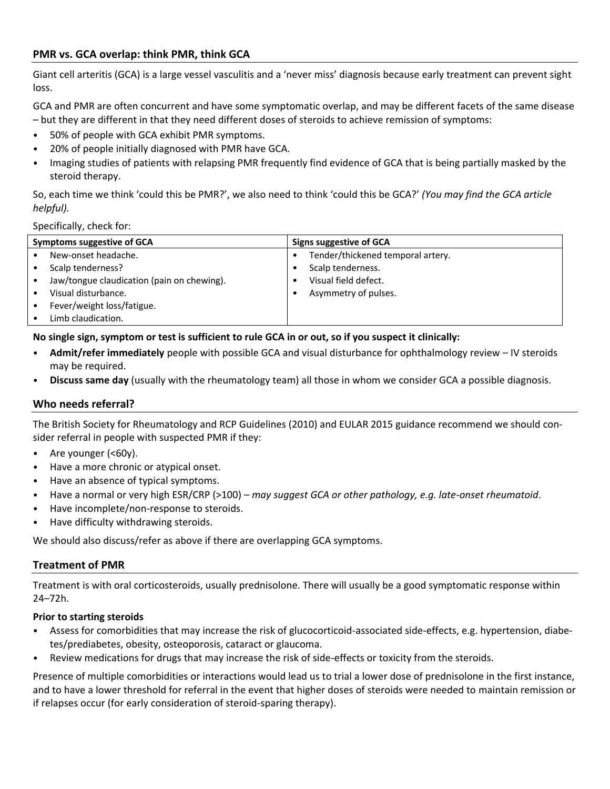# **PMR vs. GCA overlap: think PMR, think GCA**

Giant cell arteritis (GCA) is a large vessel vasculitis and a 'never miss' diagnosis because early treatment can prevent sight loss.

GCA and PMR are often concurrent and have some symptomatic overlap, and may be different facets of the same disease – but they are different in that they need different doses of steroids to achieve remission of symptoms:

- 50% of people with GCA exhibit PMR symptoms.
- 20% of people initially diagnosed with PMR have GCA.
- Imaging studies of patients with relapsing PMR frequently find evidence of GCA that is being partially masked by the steroid therapy.

So, each time we think 'could this be PMR?', we also need to think 'could this be GCA?' *(You may find the GCA article helpful).*

#### Specifically, check for:

| Symptoms suggestive of GCA |                                            | Signs suggestive of GCA |                                   |
|----------------------------|--------------------------------------------|-------------------------|-----------------------------------|
|                            | New-onset headache.                        |                         | Tender/thickened temporal artery. |
|                            | Scalp tenderness?                          |                         | Scalp tenderness.                 |
|                            | Jaw/tongue claudication (pain on chewing). |                         | Visual field defect.              |
|                            | Visual disturbance.                        |                         | Asymmetry of pulses.              |
|                            | Fever/weight loss/fatigue.                 |                         |                                   |
|                            | Limb claudication.                         |                         |                                   |

#### **No single sign, symptom or test is sufficient to rule GCA in or out, so if you suspect it clinically:**

- **Admit/refer immediately** people with possible GCA and visual disturbance for ophthalmology review IV steroids may be required.
- **Discuss same day** (usually with the rheumatology team) all those in whom we consider GCA a possible diagnosis.

#### **Who needs referral?**

The British Society for Rheumatology and RCP Guidelines (2010) and EULAR 2015 guidance recommend we should consider referral in people with suspected PMR if they:

- Are younger (<60y).
- Have a more chronic or atypical onset.
- Have an absence of typical symptoms.
- Have a normal or very high ESR/CRP (>100) *may suggest GCA or other pathology, e.g. late-onset rheumatoid*.
- Have incomplete/non-response to steroids.
- Have difficulty withdrawing steroids.

We should also discuss/refer as above if there are overlapping GCA symptoms.

#### **Treatment of PMR**

Treatment is with oral corticosteroids, usually prednisolone. There will usually be a good symptomatic response within 24–72h.

#### **Prior to starting steroids**

- Assess for comorbidities that may increase the risk of glucocorticoid-associated side-effects, e.g. hypertension, diabetes/prediabetes, obesity, osteoporosis, cataract or glaucoma.
- Review medications for drugs that may increase the risk of side-effects or toxicity from the steroids.

Presence of multiple comorbidities or interactions would lead us to trial a lower dose of prednisolone in the first instance, and to have a lower threshold for referral in the event that higher doses of steroids were needed to maintain remission or if relapses occur (for early consideration of steroid-sparing therapy).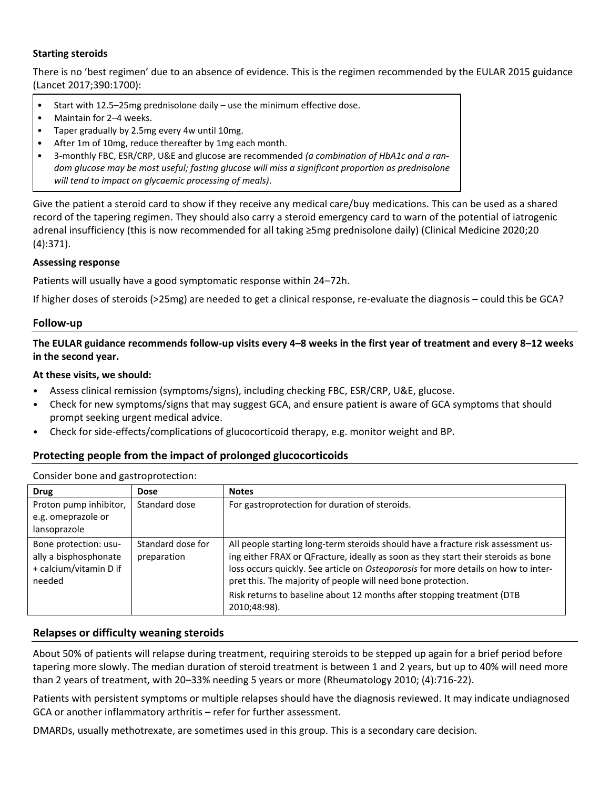#### **Starting steroids**

There is no 'best regimen' due to an absence of evidence. This is the regimen recommended by the EULAR 2015 guidance (Lancet 2017;390:1700):

- Start with 12.5–25mg prednisolone daily use the minimum effective dose.
- Maintain for 2–4 weeks.
- Taper gradually by 2.5mg every 4w until 10mg.
- After 1m of 10mg, reduce thereafter by 1mg each month.
- 3-monthly FBC, ESR/CRP, U&E and glucose are recommended *(a combination of HbA1c and a random glucose may be most useful; fasting glucose will miss a significant proportion as prednisolone will tend to impact on glycaemic processing of meals)*.

Give the patient a steroid card to show if they receive any medical care/buy medications. This can be used as a shared record of the tapering regimen. They should also carry a steroid emergency card to warn of the potential of iatrogenic adrenal insufficiency (this is now recommended for all taking ≥5mg prednisolone daily) (Clinical Medicine 2020;20 (4):371).

#### **Assessing response**

Patients will usually have a good symptomatic response within 24–72h.

If higher doses of steroids (>25mg) are needed to get a clinical response, re-evaluate the diagnosis – could this be GCA?

### **Follow-up**

## **The EULAR guidance recommends follow-up visits every 4–8 weeks in the first year of treatment and every 8–12 weeks in the second year.**

#### **At these visits, we should:**

- Assess clinical remission (symptoms/signs), including checking FBC, ESR/CRP, U&E, glucose.
- Check for new symptoms/signs that may suggest GCA, and ensure patient is aware of GCA symptoms that should prompt seeking urgent medical advice.
- Check for side-effects/complications of glucocorticoid therapy, e.g. monitor weight and BP.

# **Protecting people from the impact of prolonged glucocorticoids**

| <b>Drug</b>                                                                        | <b>Dose</b>                      | <b>Notes</b>                                                                                                                                                                                                                                                                                                                                                                                                            |  |  |  |
|------------------------------------------------------------------------------------|----------------------------------|-------------------------------------------------------------------------------------------------------------------------------------------------------------------------------------------------------------------------------------------------------------------------------------------------------------------------------------------------------------------------------------------------------------------------|--|--|--|
| Proton pump inhibitor,<br>e.g. omeprazole or<br>lansoprazole                       | Standard dose                    | For gastroprotection for duration of steroids.                                                                                                                                                                                                                                                                                                                                                                          |  |  |  |
| Bone protection: usu-<br>ally a bisphosphonate<br>+ calcium/vitamin D if<br>needed | Standard dose for<br>preparation | All people starting long-term steroids should have a fracture risk assessment us-<br>ing either FRAX or QFracture, ideally as soon as they start their steroids as bone<br>loss occurs quickly. See article on Osteoporosis for more details on how to inter-<br>pret this. The majority of people will need bone protection.<br>Risk returns to baseline about 12 months after stopping treatment (DTB<br>2010;48:98). |  |  |  |

Consider bone and gastroprotection:

#### **Relapses or difficulty weaning steroids**

About 50% of patients will relapse during treatment, requiring steroids to be stepped up again for a brief period before tapering more slowly. The median duration of steroid treatment is between 1 and 2 years, but up to 40% will need more than 2 years of treatment, with 20–33% needing 5 years or more (Rheumatology 2010; (4):716-22).

Patients with persistent symptoms or multiple relapses should have the diagnosis reviewed. It may indicate undiagnosed GCA or another inflammatory arthritis – refer for further assessment.

DMARDs, usually methotrexate, are sometimes used in this group. This is a secondary care decision.